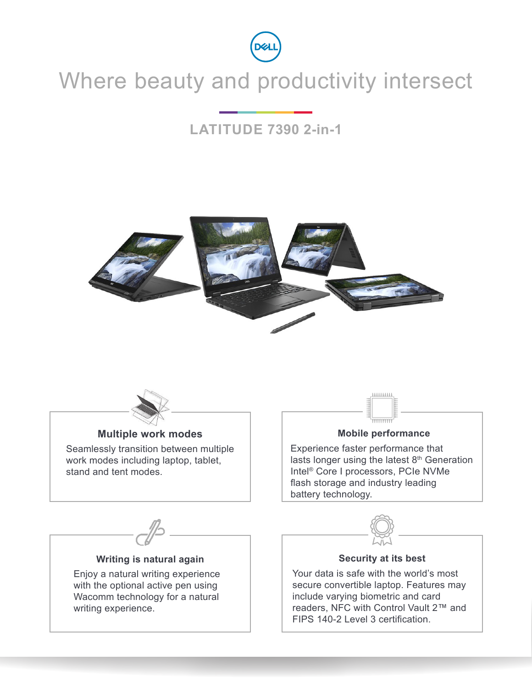

# Where beauty and productivity intersect

### **LATITUDE 7390 2-in-1**





### **Multiple work modes**

Seamlessly transition between multiple work modes including laptop, tablet, stand and tent modes.



#### **Mobile performance**

Experience faster performance that lasts longer using the latest 8<sup>th</sup> Generation Intel® Core I processors, PCIe NVMe flash storage and industry leading battery technology.



### **Writing is natural again**

Enjoy a natural writing experience with the optional active pen using Wacomm technology for a natural writing experience.



### **Security at its best**

Your data is safe with the world's most secure convertible laptop. Features may include varying biometric and card readers, NFC with Control Vault 2™ and FIPS 140-2 Level 3 certification.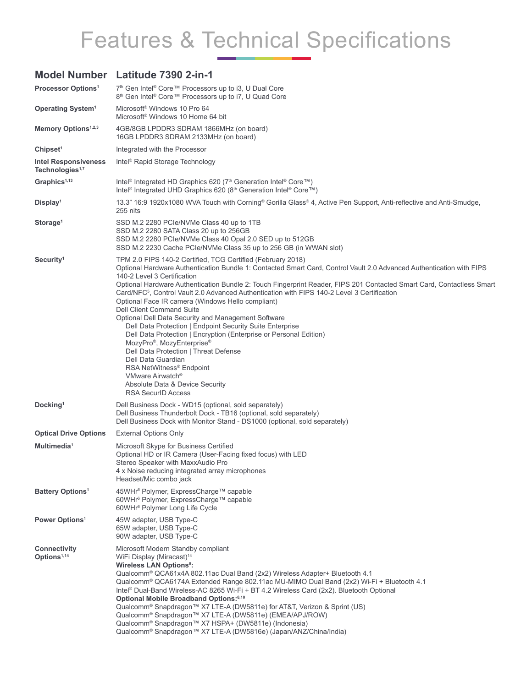# Features & Technical Specifications

### **Model Number Latitude 7390 2-in-1**

| <b>Processor Options<sup>1</sup></b>                       | 7 <sup>th</sup> Gen Intel <sup>®</sup> Core™ Processors up to i3, U Dual Core<br>8 <sup>th</sup> Gen Intel <sup>®</sup> Core™ Processors up to i7, U Quad Core                                                                                                                                                                                                                                                                                                                                                                                                                                                                                                                                                                                                                                                                                                                                                                                             |
|------------------------------------------------------------|------------------------------------------------------------------------------------------------------------------------------------------------------------------------------------------------------------------------------------------------------------------------------------------------------------------------------------------------------------------------------------------------------------------------------------------------------------------------------------------------------------------------------------------------------------------------------------------------------------------------------------------------------------------------------------------------------------------------------------------------------------------------------------------------------------------------------------------------------------------------------------------------------------------------------------------------------------|
| <b>Operating System<sup>1</sup></b>                        | Microsoft <sup>®</sup> Windows 10 Pro 64<br>Microsoft <sup>®</sup> Windows 10 Home 64 bit                                                                                                                                                                                                                                                                                                                                                                                                                                                                                                                                                                                                                                                                                                                                                                                                                                                                  |
| Memory Options <sup>1,2,3</sup>                            | 4GB/8GB LPDDR3 SDRAM 1866MHz (on board)<br>16GB LPDDR3 SDRAM 2133MHz (on board)                                                                                                                                                                                                                                                                                                                                                                                                                                                                                                                                                                                                                                                                                                                                                                                                                                                                            |
| Chipset <sup>1</sup>                                       | Integrated with the Processor                                                                                                                                                                                                                                                                                                                                                                                                                                                                                                                                                                                                                                                                                                                                                                                                                                                                                                                              |
| <b>Intel Responsiveness</b><br>Technologies <sup>1,7</sup> | Intel <sup>®</sup> Rapid Storage Technology                                                                                                                                                                                                                                                                                                                                                                                                                                                                                                                                                                                                                                                                                                                                                                                                                                                                                                                |
| Graphics $1,13$                                            | Intel <sup>®</sup> Integrated HD Graphics 620 (7 <sup>th</sup> Generation Intel <sup>®</sup> Core™)<br>Intel <sup>®</sup> Integrated UHD Graphics 620 (8 <sup>th</sup> Generation Intel® Core™)                                                                                                                                                                                                                                                                                                                                                                                                                                                                                                                                                                                                                                                                                                                                                            |
| Display <sup>1</sup>                                       | 13.3" 16:9 1920x1080 WVA Touch with Corning® Gorilla Glass® 4, Active Pen Support, Anti-reflective and Anti-Smudge,<br>255 nits                                                                                                                                                                                                                                                                                                                                                                                                                                                                                                                                                                                                                                                                                                                                                                                                                            |
| Storage <sup>1</sup>                                       | SSD M.2 2280 PCIe/NVMe Class 40 up to 1TB<br>SSD M.2 2280 SATA Class 20 up to 256GB<br>SSD M.2 2280 PCIe/NVMe Class 40 Opal 2.0 SED up to 512GB<br>SSD M.2 2230 Cache PCIe/NVMe Class 35 up to 256 GB (in WWAN slot)                                                                                                                                                                                                                                                                                                                                                                                                                                                                                                                                                                                                                                                                                                                                       |
| Security <sup>1</sup>                                      | TPM 2.0 FIPS 140-2 Certified, TCG Certified (February 2018)<br>Optional Hardware Authentication Bundle 1: Contacted Smart Card, Control Vault 2.0 Advanced Authentication with FIPS<br>140-2 Level 3 Certification<br>Optional Hardware Authentication Bundle 2: Touch Fingerprint Reader, FIPS 201 Contacted Smart Card, Contactless Smart<br>Card/NFC <sup>5</sup> , Control Vault 2.0 Advanced Authentication with FIPS 140-2 Level 3 Certification<br>Optional Face IR camera (Windows Hello compliant)<br>Dell Client Command Suite<br>Optional Dell Data Security and Management Software<br>Dell Data Protection   Endpoint Security Suite Enterprise<br>Dell Data Protection   Encryption (Enterprise or Personal Edition)<br>MozyPro®, MozyEnterprise®<br>Dell Data Protection   Threat Defense<br>Dell Data Guardian<br>RSA NetWitness® Endpoint<br>VMware Airwatch <sup>®</sup><br>Absolute Data & Device Security<br><b>RSA SecurID Access</b> |
| Docking <sup>1</sup>                                       | Dell Business Dock - WD15 (optional, sold separately)<br>Dell Business Thunderbolt Dock - TB16 (optional, sold separately)<br>Dell Business Dock with Monitor Stand - DS1000 (optional, sold separately)                                                                                                                                                                                                                                                                                                                                                                                                                                                                                                                                                                                                                                                                                                                                                   |
| <b>Optical Drive Options</b>                               | <b>External Options Only</b>                                                                                                                                                                                                                                                                                                                                                                                                                                                                                                                                                                                                                                                                                                                                                                                                                                                                                                                               |
| Multimedia <sup>1</sup>                                    | Microsoft Skype for Business Certified<br>Optional HD or IR Camera (User-Facing fixed focus) with LED<br>Stereo Speaker with MaxxAudio Pro<br>4 x Noise reducing integrated array microphones<br>Headset/Mic combo jack                                                                                                                                                                                                                                                                                                                                                                                                                                                                                                                                                                                                                                                                                                                                    |
| <b>Battery Options<sup>1</sup></b>                         | 45WHr <sup>6</sup> Polymer, ExpressCharge™ capable<br>60WHr <sup>6</sup> Polymer, ExpressCharge™ capable<br>60WHr <sup>6</sup> Polymer Long Life Cycle                                                                                                                                                                                                                                                                                                                                                                                                                                                                                                                                                                                                                                                                                                                                                                                                     |
| Power Options <sup>1</sup>                                 | 45W adapter, USB Type-C<br>65W adapter, USB Type-C<br>90W adapter, USB Type-C                                                                                                                                                                                                                                                                                                                                                                                                                                                                                                                                                                                                                                                                                                                                                                                                                                                                              |
| <b>Connectivity</b><br>Options <sup>1,14</sup>             | Microsoft Modern Standby compliant<br>WiFi Display (Miracast) <sup>14</sup><br><b>Wireless LAN Options<sup>8</sup>:</b><br>Qualcomm <sup>®</sup> QCA61x4A 802.11ac Dual Band (2x2) Wireless Adapter+ Bluetooth 4.1<br>Qualcomm <sup>®</sup> QCA6174A Extended Range 802.11ac MU-MIMO Dual Band (2x2) Wi-Fi + Bluetooth 4.1<br>Intel® Dual-Band Wireless-AC 8265 Wi-Fi + BT 4.2 Wireless Card (2x2). Bluetooth Optional<br>Optional Mobile Broadband Options: <sup>8,10</sup><br>Qualcomm <sup>®</sup> Snapdragon™ X7 LTE-A (DW5811e) for AT&T, Verizon & Sprint (US)<br>Qualcomm <sup>®</sup> Snapdragon™ X7 LTE-A (DW5811e) (EMEA/APJ/ROW)<br>Qualcomm <sup>®</sup> Snapdragon™ X7 HSPA+ (DW5811e) (Indonesia)<br>Qualcomm <sup>®</sup> Snapdragon™ X7 LTE-A (DW5816e) (Japan/ANZ/China/India)                                                                                                                                                            |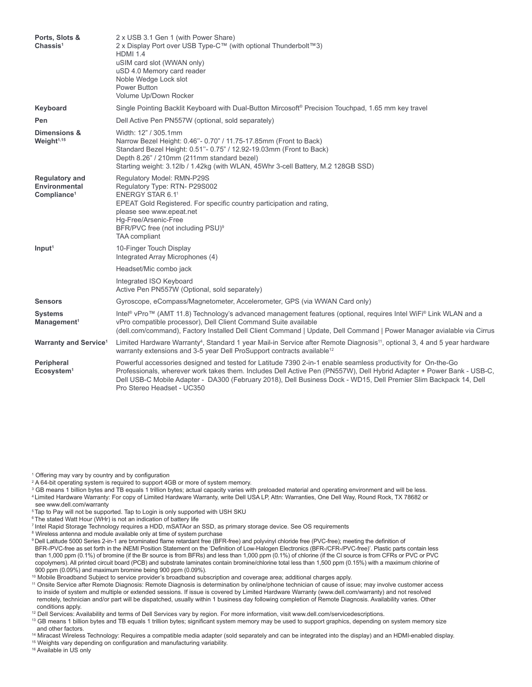| Ports, Slots &<br>Chassis <sup>1</sup>                            | 2 x USB 3.1 Gen 1 (with Power Share)<br>2 x Display Port over USB Type-C™ (with optional Thunderbolt™3)<br><b>HDMI 1.4</b><br>uSIM card slot (WWAN only)<br>uSD 4.0 Memory card reader<br>Noble Wedge Lock slot<br>Power Button<br>Volume Up/Down Rocker                                                                                                                                 |
|-------------------------------------------------------------------|------------------------------------------------------------------------------------------------------------------------------------------------------------------------------------------------------------------------------------------------------------------------------------------------------------------------------------------------------------------------------------------|
| Keyboard                                                          | Single Pointing Backlit Keyboard with Dual-Button Mircosoft® Precision Touchpad, 1.65 mm key travel                                                                                                                                                                                                                                                                                      |
| Pen                                                               | Dell Active Pen PN557W (optional, sold separately)                                                                                                                                                                                                                                                                                                                                       |
| Dimensions &<br>Weight <sup>1,15</sup>                            | Width: 12" / 305.1mm<br>Narrow Bezel Height: 0.46"- 0.70" / 11.75-17.85mm (Front to Back)<br>Standard Bezel Height: 0.51"- 0.75" / 12.92-19.03mm (Front to Back)<br>Depth 8.26" / 210mm (211mm standard bezel)<br>Starting weight: 3.12lb / 1.42kg (with WLAN, 45Whr 3-cell Battery, M.2 128GB SSD)                                                                                      |
| <b>Regulatory and</b><br>Environmental<br>Compliance <sup>1</sup> | Regulatory Model: RMN-P29S<br>Regulatory Type: RTN- P29S002<br>ENERGY STAR 6.1 <sup>1</sup><br>EPEAT Gold Registered. For specific country participation and rating,<br>please see www.epeat.net<br>Hq-Free/Arsenic-Free<br>BFR/PVC free (not including PSU) <sup>9</sup><br><b>TAA</b> compliant                                                                                        |
| Input <sup>1</sup>                                                | 10-Finger Touch Display<br>Integrated Array Microphones (4)                                                                                                                                                                                                                                                                                                                              |
|                                                                   | Headset/Mic combo jack                                                                                                                                                                                                                                                                                                                                                                   |
|                                                                   | Integrated ISO Keyboard<br>Active Pen PN557W (Optional, sold separately)                                                                                                                                                                                                                                                                                                                 |
| <b>Sensors</b>                                                    | Gyroscope, eCompass/Magnetometer, Accelerometer, GPS (via WWAN Card only)                                                                                                                                                                                                                                                                                                                |
| <b>Systems</b><br>Management <sup>1</sup>                         | Intel® vPro™ (AMT 11.8) Technology's advanced management features (optional, requires Intel WiFi® Link WLAN and a<br>vPro compatible processor), Dell Client Command Suite available<br>(dell.com/command), Factory Installed Dell Client Command   Update, Dell Command   Power Manager avialable via Cirrus                                                                            |
| <b>Warranty and Service<sup>1</sup></b>                           | Limited Hardware Warranty <sup>4</sup> , Standard 1 year Mail-in Service after Remote Diagnosis <sup>11</sup> , optional 3, 4 and 5 year hardware<br>warranty extensions and 3-5 year Dell ProSupport contracts available <sup>12</sup>                                                                                                                                                  |
| Peripheral<br>Ecosystem <sup>1</sup>                              | Powerful accessories designed and tested for Latitude 7390 2-in-1 enable seamless productivity for On-the-Go<br>Professionals, wherever work takes them. Includes Dell Active Pen (PN557W), Dell Hybrid Adapter + Power Bank - USB-C,<br>Dell USB-C Mobile Adapter - DA300 (February 2018), Dell Business Dock - WD15, Dell Premier Slim Backpack 14, Dell<br>Pro Stereo Headset - UC350 |

1 Offering may vary by country and by configuration

- 4 Limited Hardware Warranty: For copy of Limited Hardware Warranty, write Dell USA LP, Attn: Warranties, One Dell Way, Round Rock, TX 78682 or see [www.dell.com/warranty](http://www.dell.com/warranty)
- <sup>5</sup> Tap to Pay will not be supported. Tap to Login is only supported with USH SKU
- <sup>6</sup> The stated Watt Hour (WHr) is not an indication of battery life
- 7 Intel Rapid Storage Technology requires a HDD, mSATAor an SSD, as primary storage device. See OS requirements
- <sup>8</sup> Wireless antenna and module available only at time of system purchase
- <sup>9</sup>Dell Latitude 5000 Series 2-in-1 are brominated flame retardant free (BFR-free) and polyvinyl chloride free (PVC-free); meeting the definition of BFR-/PVC-free as set forth in the iNEMI Position Statement on the 'Definition of Low-Halogen Electronics (BFR-/CFR-/PVC-free)'. Plastic parts contain less than 1,000 ppm (0.1%) of bromine (if the Br source is from BFRs) and less than 1,000 ppm (0.1%) of chlorine (if the Cl source is from CFRs or PVC or PVC copolymers). All printed circuit board (PCB) and substrate laminates contain bromine/chlorine total less than 1,500 ppm (0.15%) with a maximum chlorine of 900 ppm (0.09%) and maximum bromine being 900 ppm (0.09%).<br><sup>10</sup> Mobile Broadband Subject to service provider's broadband subscription and coverage area; additional charges apply.
- 
- <sup>11</sup> Onsite Service after Remote Diagnosis: Remote Diagnosis is determination by online/phone technician of cause of issue; may involve customer access to inside of system and multiple or extended sessions. If issue is covered by Limited Hardware Warranty (www.dell.com/warranty) and not resolved remotely, technician and/or part will be dispatched, usually within 1 business day following completion of Remote Diagnosis. Availability varies. Other conditions apply.
- <sup>12</sup> Dell Services: Availability and terms of Dell Services vary by region. For more information, visit [www.dell.com/servicedescriptions.](http://www.dell.com/servicedescriptions)
- <sup>13</sup> GB means 1 billion bytes and TB equals 1 trillion bytes; significant system memory may be used to support graphics, depending on system memory size and other factors.
- 14 Miracast Wireless Technology: Requires a compatible media adapter (sold separately and can be integrated into the display) and an HDMI-enabled display.
- <sup>15</sup> Weights vary depending on configuration and manufacturing variability.

16 Available in US only

<sup>2</sup> A 64-bit operating system is required to support 4GB or more of system memory.

<sup>&</sup>lt;sup>3</sup> GB means 1 billion bytes and TB equals 1 trillion bytes; actual capacity varies with preloaded material and operating environment and will be less.